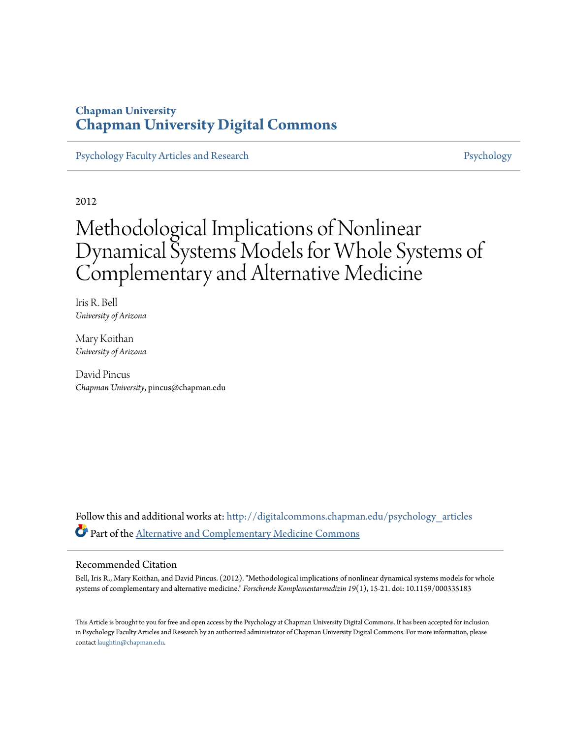### **Chapman University [Chapman University Digital Commons](http://digitalcommons.chapman.edu?utm_source=digitalcommons.chapman.edu%2Fpsychology_articles%2F44&utm_medium=PDF&utm_campaign=PDFCoverPages)**

[Psychology Faculty Articles and Research](http://digitalcommons.chapman.edu/psychology_articles?utm_source=digitalcommons.chapman.edu%2Fpsychology_articles%2F44&utm_medium=PDF&utm_campaign=PDFCoverPages) **[Psychology](http://digitalcommons.chapman.edu/psychology?utm_source=digitalcommons.chapman.edu%2Fpsychology_articles%2F44&utm_medium=PDF&utm_campaign=PDFCoverPages)** 

2012

# Methodological Implications of Nonlinear Dynamical Systems Models for Whole Systems of Complementary and Alternative Medicine

Iris R. Bell *University of Arizona*

Mary Koithan *University of Arizona*

David Pincus *Chapman University*, pincus@chapman.edu

Follow this and additional works at: [http://digitalcommons.chapman.edu/psychology\\_articles](http://digitalcommons.chapman.edu/psychology_articles?utm_source=digitalcommons.chapman.edu%2Fpsychology_articles%2F44&utm_medium=PDF&utm_campaign=PDFCoverPages) Part of the [Alternative and Complementary Medicine Commons](http://network.bepress.com/hgg/discipline/649?utm_source=digitalcommons.chapman.edu%2Fpsychology_articles%2F44&utm_medium=PDF&utm_campaign=PDFCoverPages)

#### Recommended Citation

Bell, Iris R., Mary Koithan, and David Pincus. (2012). "Methodological implications of nonlinear dynamical systems models for whole systems of complementary and alternative medicine." *Forschende Komplementarmedizin 19*(1), 15-21. doi: 10.1159/000335183

This Article is brought to you for free and open access by the Psychology at Chapman University Digital Commons. It has been accepted for inclusion in Psychology Faculty Articles and Research by an authorized administrator of Chapman University Digital Commons. For more information, please contact [laughtin@chapman.edu](mailto:laughtin@chapman.edu).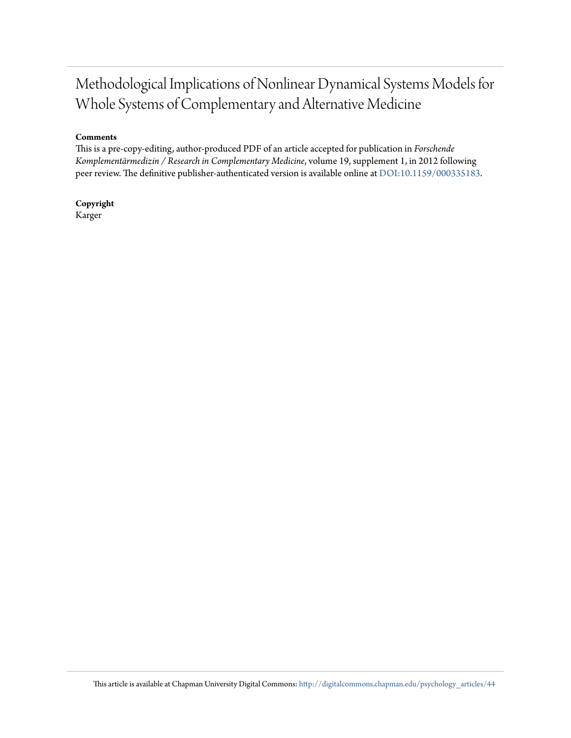## Methodological Implications of Nonlinear Dynamical Systems Models for Whole Systems of Complementary and Alternative Medicine

#### **Comments**

This is a pre-copy-editing, author-produced PDF of an article accepted for publication in *Forschende Komplementärmedizin / Research in Complementary Medicine*, volume 19, supplement 1, in 2012 following peer review. The definitive publisher-authenticated version is available online at [DOI:10.1159/000335183](http://dx.doi.org/10.1159/000335183).

**Copyright** Karger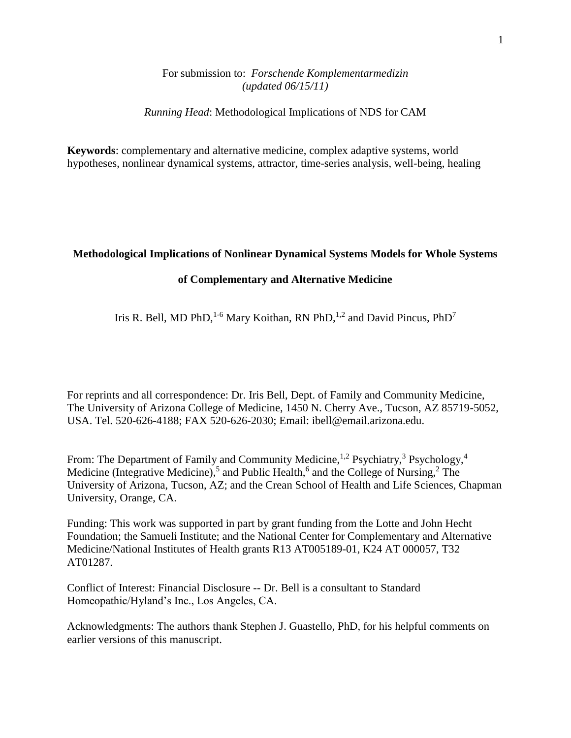#### For submission to: *Forschende Komplementarmedizin (updated 06/15/11)*

*Running Head*: Methodological Implications of NDS for CAM

**Keywords**: complementary and alternative medicine, complex adaptive systems, world hypotheses, nonlinear dynamical systems, attractor, time-series analysis, well-being, healing

#### **Methodological Implications of Nonlinear Dynamical Systems Models for Whole Systems**

#### **of Complementary and Alternative Medicine**

Iris R. Bell, MD PhD,<sup>1-6</sup> Mary Koithan, RN PhD,<sup>1,2</sup> and David Pincus, PhD<sup>7</sup>

For reprints and all correspondence: Dr. Iris Bell, Dept. of Family and Community Medicine, The University of Arizona College of Medicine, 1450 N. Cherry Ave., Tucson, AZ 85719-5052, USA. Tel. 520-626-4188; FAX 520-626-2030; Email: ibell@email.arizona.edu.

From: The Department of Family and Community Medicine,  $^{1,2}$  Psychiatry,  $^3$  Psychology,  $^4$ Medicine (Integrative Medicine),<sup>5</sup> and Public Health,<sup>6</sup> and the College of Nursing,<sup>2</sup> The University of Arizona, Tucson, AZ; and the Crean School of Health and Life Sciences, Chapman University, Orange, CA.

Funding: This work was supported in part by grant funding from the Lotte and John Hecht Foundation; the Samueli Institute; and the National Center for Complementary and Alternative Medicine/National Institutes of Health grants R13 AT005189-01, K24 AT 000057, T32 AT01287.

Conflict of Interest: Financial Disclosure -- Dr. Bell is a consultant to Standard Homeopathic/Hyland's Inc., Los Angeles, CA.

Acknowledgments: The authors thank Stephen J. Guastello, PhD, for his helpful comments on earlier versions of this manuscript.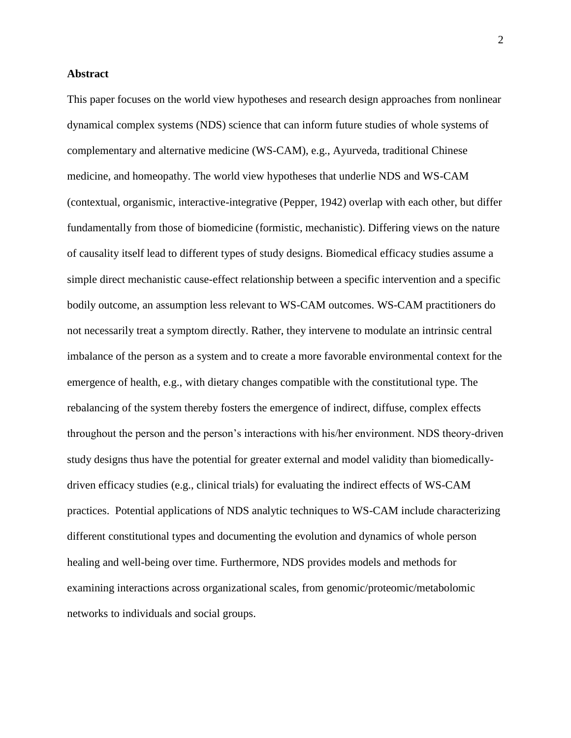#### **Abstract**

This paper focuses on the world view hypotheses and research design approaches from nonlinear dynamical complex systems (NDS) science that can inform future studies of whole systems of complementary and alternative medicine (WS-CAM), e.g., Ayurveda, traditional Chinese medicine, and homeopathy. The world view hypotheses that underlie NDS and WS-CAM (contextual, organismic, interactive-integrative (Pepper, 1942) overlap with each other, but differ fundamentally from those of biomedicine (formistic, mechanistic). Differing views on the nature of causality itself lead to different types of study designs. Biomedical efficacy studies assume a simple direct mechanistic cause-effect relationship between a specific intervention and a specific bodily outcome, an assumption less relevant to WS-CAM outcomes. WS-CAM practitioners do not necessarily treat a symptom directly. Rather, they intervene to modulate an intrinsic central imbalance of the person as a system and to create a more favorable environmental context for the emergence of health, e.g., with dietary changes compatible with the constitutional type. The rebalancing of the system thereby fosters the emergence of indirect, diffuse, complex effects throughout the person and the person's interactions with his/her environment. NDS theory-driven study designs thus have the potential for greater external and model validity than biomedicallydriven efficacy studies (e.g., clinical trials) for evaluating the indirect effects of WS-CAM practices. Potential applications of NDS analytic techniques to WS-CAM include characterizing different constitutional types and documenting the evolution and dynamics of whole person healing and well-being over time. Furthermore, NDS provides models and methods for examining interactions across organizational scales, from genomic/proteomic/metabolomic networks to individuals and social groups.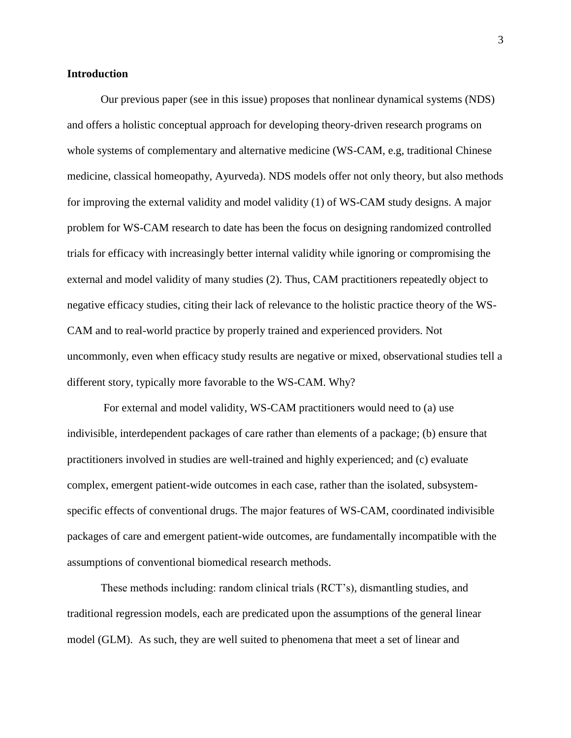#### **Introduction**

Our previous paper (see in this issue) proposes that nonlinear dynamical systems (NDS) and offers a holistic conceptual approach for developing theory-driven research programs on whole systems of complementary and alternative medicine (WS-CAM, e.g, traditional Chinese medicine, classical homeopathy, Ayurveda). NDS models offer not only theory, but also methods for improving the external validity and model validity [\(1\)](#page-13-0) of WS-CAM study designs. A major problem for WS-CAM research to date has been the focus on designing randomized controlled trials for efficacy with increasingly better internal validity while ignoring or compromising the external and model validity of many studies [\(2\)](#page-13-1). Thus, CAM practitioners repeatedly object to negative efficacy studies, citing their lack of relevance to the holistic practice theory of the WS-CAM and to real-world practice by properly trained and experienced providers. Not uncommonly, even when efficacy study results are negative or mixed, observational studies tell a different story, typically more favorable to the WS-CAM. Why?

For external and model validity, WS-CAM practitioners would need to (a) use indivisible, interdependent packages of care rather than elements of a package; (b) ensure that practitioners involved in studies are well-trained and highly experienced; and (c) evaluate complex, emergent patient-wide outcomes in each case, rather than the isolated, subsystemspecific effects of conventional drugs. The major features of WS-CAM, coordinated indivisible packages of care and emergent patient-wide outcomes, are fundamentally incompatible with the assumptions of conventional biomedical research methods.

These methods including: random clinical trials (RCT's), dismantling studies, and traditional regression models, each are predicated upon the assumptions of the general linear model (GLM). As such, they are well suited to phenomena that meet a set of linear and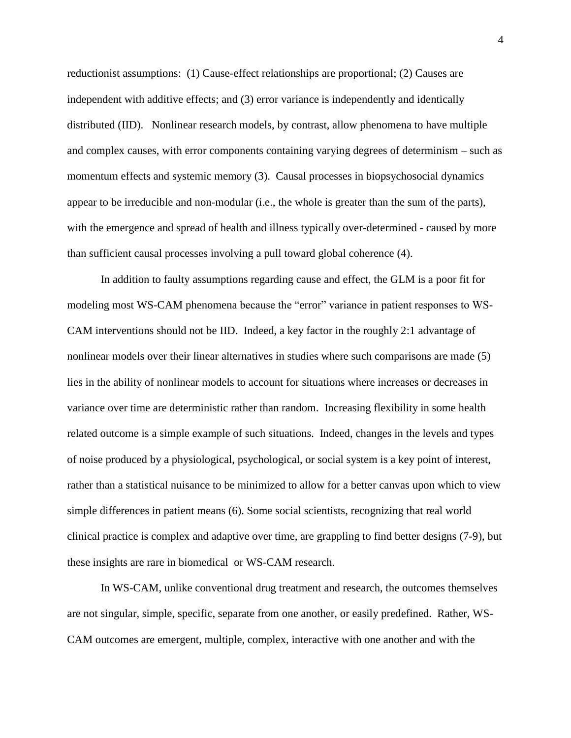reductionist assumptions: (1) Cause-effect relationships are proportional; (2) Causes are independent with additive effects; and (3) error variance is independently and identically distributed (IID). Nonlinear research models, by contrast, allow phenomena to have multiple and complex causes, with error components containing varying degrees of determinism – such as momentum effects and systemic memory (3). Causal processes in biopsychosocial dynamics appear to be irreducible and non-modular (i.e., the whole is greater than the sum of the parts), with the emergence and spread of health and illness typically over-determined - caused by more than sufficient causal processes involving a pull toward global coherence (4).

In addition to faulty assumptions regarding cause and effect, the GLM is a poor fit for modeling most WS-CAM phenomena because the "error" variance in patient responses to WS-CAM interventions should not be IID. Indeed, a key factor in the roughly 2:1 advantage of nonlinear models over their linear alternatives in studies where such comparisons are made (5) lies in the ability of nonlinear models to account for situations where increases or decreases in variance over time are deterministic rather than random. Increasing flexibility in some health related outcome is a simple example of such situations. Indeed, changes in the levels and types of noise produced by a physiological, psychological, or social system is a key point of interest, rather than a statistical nuisance to be minimized to allow for a better canvas upon which to view simple differences in patient means (6). Some social scientists, recognizing that real world clinical practice is complex and adaptive over time, are grappling to find better designs [\(7-](#page-13-2)9), but these insights are rare in biomedical or WS-CAM research.

In WS-CAM, unlike conventional drug treatment and research, the outcomes themselves are not singular, simple, specific, separate from one another, or easily predefined. Rather, WS-CAM outcomes are emergent, multiple, complex, interactive with one another and with the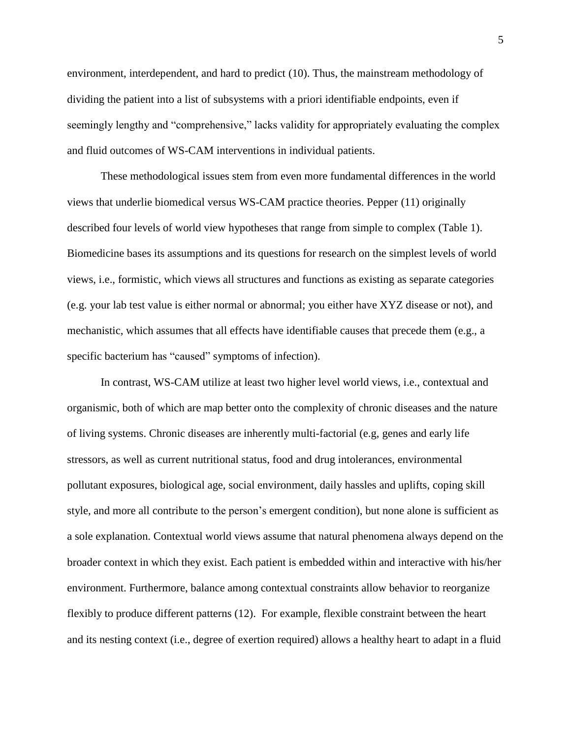environment, interdependent, and hard to predict [\(10\)](#page-14-0). Thus, the mainstream methodology of dividing the patient into a list of subsystems with a priori identifiable endpoints, even if seemingly lengthy and "comprehensive," lacks validity for appropriately evaluating the complex and fluid outcomes of WS-CAM interventions in individual patients.

These methodological issues stem from even more fundamental differences in the world views that underlie biomedical versus WS-CAM practice theories. Pepper (11) originally described four levels of world view hypotheses that range from simple to complex (Table 1). Biomedicine bases its assumptions and its questions for research on the simplest levels of world views, i.e., formistic, which views all structures and functions as existing as separate categories (e.g. your lab test value is either normal or abnormal; you either have XYZ disease or not), and mechanistic, which assumes that all effects have identifiable causes that precede them (e.g., a specific bacterium has "caused" symptoms of infection).

In contrast, WS-CAM utilize at least two higher level world views, i.e., contextual and organismic, both of which are map better onto the complexity of chronic diseases and the nature of living systems. Chronic diseases are inherently multi-factorial (e.g, genes and early life stressors, as well as current nutritional status, food and drug intolerances, environmental pollutant exposures, biological age, social environment, daily hassles and uplifts, coping skill style, and more all contribute to the person's emergent condition), but none alone is sufficient as a sole explanation. Contextual world views assume that natural phenomena always depend on the broader context in which they exist. Each patient is embedded within and interactive with his/her environment. Furthermore, balance among contextual constraints allow behavior to reorganize flexibly to produce different patterns (12). For example, flexible constraint between the heart and its nesting context (i.e., degree of exertion required) allows a healthy heart to adapt in a fluid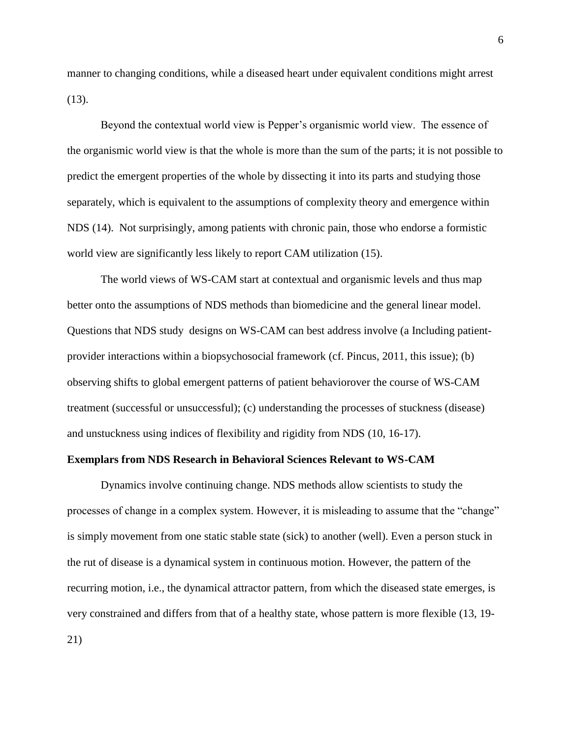manner to changing conditions, while a diseased heart under equivalent conditions might arrest (13).

Beyond the contextual world view is Pepper's organismic world view. The essence of the organismic world view is that the whole is more than the sum of the parts; it is not possible to predict the emergent properties of the whole by dissecting it into its parts and studying those separately, which is equivalent to the assumptions of complexity theory and emergence within NDS (14). Not surprisingly, among patients with chronic pain, those who endorse a formistic world view are significantly less likely to report CAM utilization [\(15\)](#page-14-1).

The world views of WS-CAM start at contextual and organismic levels and thus map better onto the assumptions of NDS methods than biomedicine and the general linear model. Questions that NDS study designs on WS-CAM can best address involve (a Including patientprovider interactions within a biopsychosocial framework (cf. Pincus, 2011, this issue); (b) observing shifts to global emergent patterns of patient behaviorover the course of WS-CAM treatment (successful or unsuccessful); (c) understanding the processes of stuckness (disease) and unstuckness using indices of flexibility and rigidity from NDS (10, 16-17).

#### **Exemplars from NDS Research in Behavioral Sciences Relevant to WS-CAM**

Dynamics involve continuing change. NDS methods allow scientists to study the processes of change in a complex system. However, it is misleading to assume that the "change" is simply movement from one static stable state (sick) to another (well). Even a person stuck in the rut of disease is a dynamical system in continuous motion. However, the pattern of the recurring motion, i.e., the dynamical attractor pattern, from which the diseased state emerges, is very constrained and differs from that of a healthy state, whose pattern is more flexible (13, 19- 21)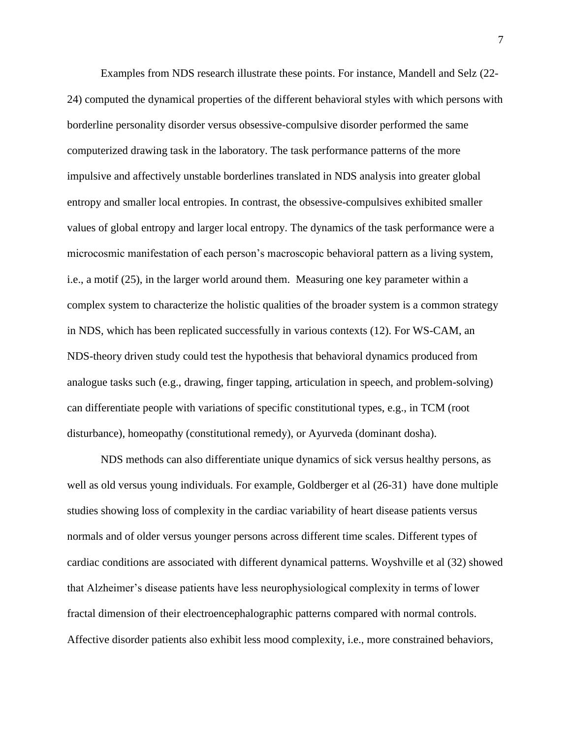Examples from NDS research illustrate these points. For instance, Mandell and Selz (22- 24) computed the dynamical properties of the different behavioral styles with which persons with borderline personality disorder versus obsessive-compulsive disorder performed the same computerized drawing task in the laboratory. The task performance patterns of the more impulsive and affectively unstable borderlines translated in NDS analysis into greater global entropy and smaller local entropies. In contrast, the obsessive-compulsives exhibited smaller values of global entropy and larger local entropy. The dynamics of the task performance were a microcosmic manifestation of each person's macroscopic behavioral pattern as a living system, i.e., a motif (25), in the larger world around them. Measuring one key parameter within a complex system to characterize the holistic qualities of the broader system is a common strategy in NDS, which has been replicated successfully in various contexts (12). For WS-CAM, an NDS-theory driven study could test the hypothesis that behavioral dynamics produced from analogue tasks such (e.g., drawing, finger tapping, articulation in speech, and problem-solving) can differentiate people with variations of specific constitutional types, e.g., in TCM (root disturbance), homeopathy (constitutional remedy), or Ayurveda (dominant dosha).

NDS methods can also differentiate unique dynamics of sick versus healthy persons, as well as old versus young individuals. For example, Goldberger et al (26-31) have done multiple studies showing loss of complexity in the cardiac variability of heart disease patients versus normals and of older versus younger persons across different time scales. Different types of cardiac conditions are associated with different dynamical patterns. Woyshville et al (32) showed that Alzheimer's disease patients have less neurophysiological complexity in terms of lower fractal dimension of their electroencephalographic patterns compared with normal controls. Affective disorder patients also exhibit less mood complexity, i.e., more constrained behaviors,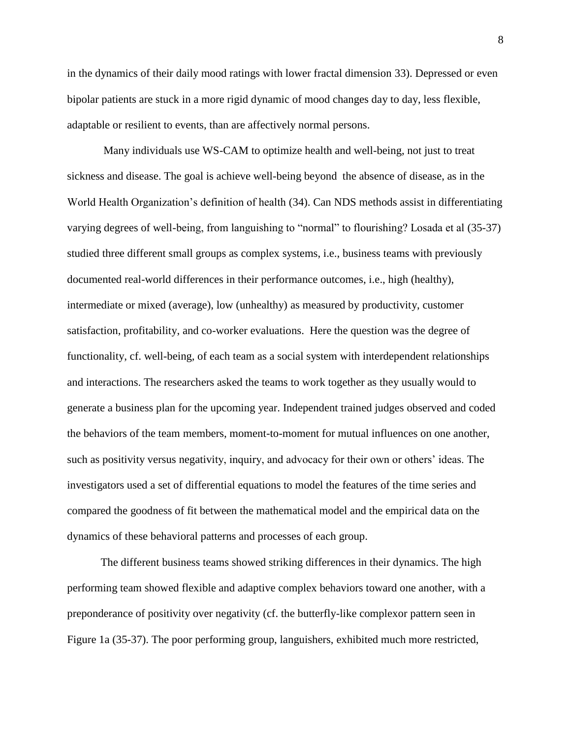in the dynamics of their daily mood ratings with lower fractal dimension 33). Depressed or even bipolar patients are stuck in a more rigid dynamic of mood changes day to day, less flexible, adaptable or resilient to events, than are affectively normal persons.

Many individuals use WS-CAM to optimize health and well-being, not just to treat sickness and disease. The goal is achieve well-being beyond the absence of disease, as in the World Health Organization's definition of health [\(34\)](#page-15-0). Can NDS methods assist in differentiating varying degrees of well-being, from languishing to "normal" to flourishing? Losada et al [\(35-37\)](#page-15-1) studied three different small groups as complex systems, i.e., business teams with previously documented real-world differences in their performance outcomes, i.e., high (healthy), intermediate or mixed (average), low (unhealthy) as measured by productivity, customer satisfaction, profitability, and co-worker evaluations. Here the question was the degree of functionality, cf. well-being, of each team as a social system with interdependent relationships and interactions. The researchers asked the teams to work together as they usually would to generate a business plan for the upcoming year. Independent trained judges observed and coded the behaviors of the team members, moment-to-moment for mutual influences on one another, such as positivity versus negativity, inquiry, and advocacy for their own or others' ideas. The investigators used a set of differential equations to model the features of the time series and compared the goodness of fit between the mathematical model and the empirical data on the dynamics of these behavioral patterns and processes of each group.

The different business teams showed striking differences in their dynamics. The high performing team showed flexible and adaptive complex behaviors toward one another, with a preponderance of positivity over negativity (cf. the butterfly-like complexor pattern seen in Figure 1a (35-37). The poor performing group, languishers, exhibited much more restricted,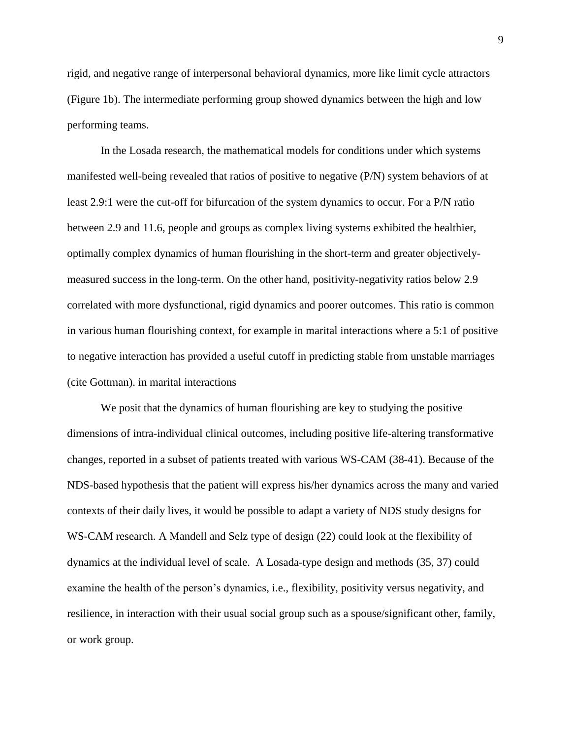rigid, and negative range of interpersonal behavioral dynamics, more like limit cycle attractors (Figure 1b). The intermediate performing group showed dynamics between the high and low performing teams.

In the Losada research, the mathematical models for conditions under which systems manifested well-being revealed that ratios of positive to negative (P/N) system behaviors of at least 2.9:1 were the cut-off for bifurcation of the system dynamics to occur. For a P/N ratio between 2.9 and 11.6, people and groups as complex living systems exhibited the healthier, optimally complex dynamics of human flourishing in the short-term and greater objectivelymeasured success in the long-term. On the other hand, positivity-negativity ratios below 2.9 correlated with more dysfunctional, rigid dynamics and poorer outcomes. This ratio is common in various human flourishing context, for example in marital interactions where a 5:1 of positive to negative interaction has provided a useful cutoff in predicting stable from unstable marriages (cite Gottman). in marital interactions

We posit that the dynamics of human flourishing are key to studying the positive dimensions of intra-individual clinical outcomes, including positive life-altering transformative changes, reported in a subset of patients treated with various WS-CAM (38-41). Because of the NDS-based hypothesis that the patient will express his/her dynamics across the many and varied contexts of their daily lives, it would be possible to adapt a variety of NDS study designs for WS-CAM research. A Mandell and Selz type of design (22) could look at the flexibility of dynamics at the individual level of scale. A Losada-type design and methods (35, 37) could examine the health of the person's dynamics, i.e., flexibility, positivity versus negativity, and resilience, in interaction with their usual social group such as a spouse/significant other, family, or work group.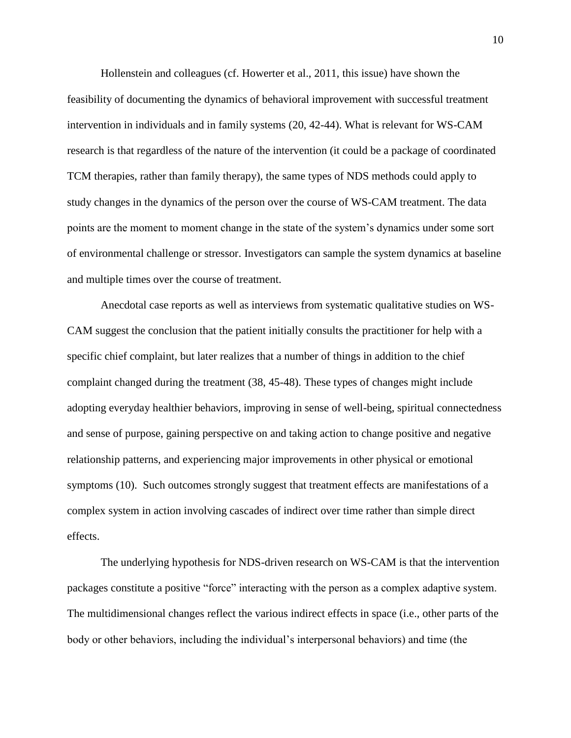Hollenstein and colleagues (cf. Howerter et al., 2011, this issue) have shown the feasibility of documenting the dynamics of behavioral improvement with successful treatment intervention in individuals and in family systems (20, 42-44). What is relevant for WS-CAM research is that regardless of the nature of the intervention (it could be a package of coordinated TCM therapies, rather than family therapy), the same types of NDS methods could apply to study changes in the dynamics of the person over the course of WS-CAM treatment. The data points are the moment to moment change in the state of the system's dynamics under some sort of environmental challenge or stressor. Investigators can sample the system dynamics at baseline and multiple times over the course of treatment.

Anecdotal case reports as well as interviews from systematic qualitative studies on WS-CAM suggest the conclusion that the patient initially consults the practitioner for help with a specific chief complaint, but later realizes that a number of things in addition to the chief complaint changed during the treatment [\(38,](#page-15-2) [45-48\)](#page-15-3). These types of changes might include adopting everyday healthier behaviors, improving in sense of well-being, spiritual connectedness and sense of purpose, gaining perspective on and taking action to change positive and negative relationship patterns, and experiencing major improvements in other physical or emotional symptoms [\(10\)](#page-14-2). Such outcomes strongly suggest that treatment effects are manifestations of a complex system in action involving cascades of indirect over time rather than simple direct effects.

The underlying hypothesis for NDS-driven research on WS-CAM is that the intervention packages constitute a positive "force" interacting with the person as a complex adaptive system. The multidimensional changes reflect the various indirect effects in space (i.e., other parts of the body or other behaviors, including the individual's interpersonal behaviors) and time (the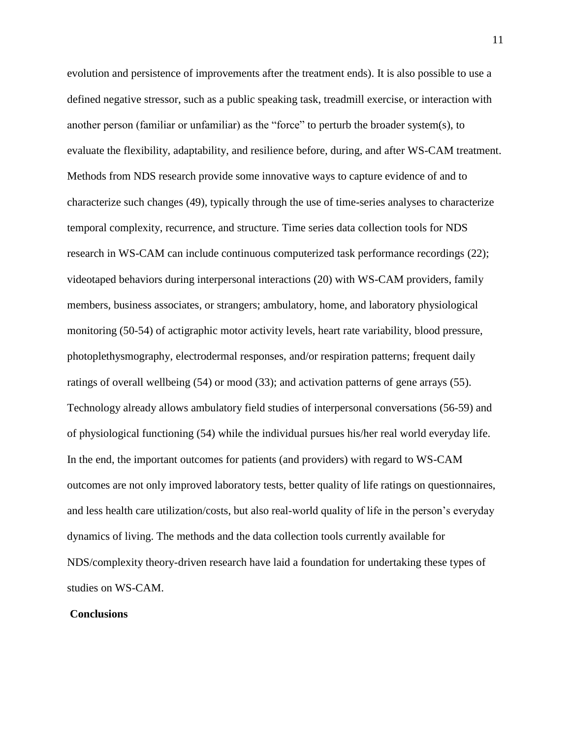evolution and persistence of improvements after the treatment ends). It is also possible to use a defined negative stressor, such as a public speaking task, treadmill exercise, or interaction with another person (familiar or unfamiliar) as the "force" to perturb the broader system(s), to evaluate the flexibility, adaptability, and resilience before, during, and after WS-CAM treatment. Methods from NDS research provide some innovative ways to capture evidence of and to characterize such changes (49), typically through the use of time-series analyses to characterize temporal complexity, recurrence, and structure. Time series data collection tools for NDS research in WS-CAM can include continuous computerized task performance recordings (22); videotaped behaviors during interpersonal interactions [\(20\)](#page-14-3) with WS-CAM providers, family members, business associates, or strangers; ambulatory, home, and laboratory physiological monitoring [\(50-54\)](#page-16-0) of actigraphic motor activity levels, heart rate variability, blood pressure, photoplethysmography, electrodermal responses, and/or respiration patterns; frequent daily ratings of overall wellbeing (54) or mood (33); and activation patterns of gene arrays [\(55\)](#page-16-1). Technology already allows ambulatory field studies of interpersonal conversations [\(56-59\)](#page-16-2) and of physiological functioning [\(54\)](#page-16-3) while the individual pursues his/her real world everyday life. In the end, the important outcomes for patients (and providers) with regard to WS-CAM outcomes are not only improved laboratory tests, better quality of life ratings on questionnaires, and less health care utilization/costs, but also real-world quality of life in the person's everyday dynamics of living. The methods and the data collection tools currently available for NDS/complexity theory-driven research have laid a foundation for undertaking these types of studies on WS-CAM.

#### **Conclusions**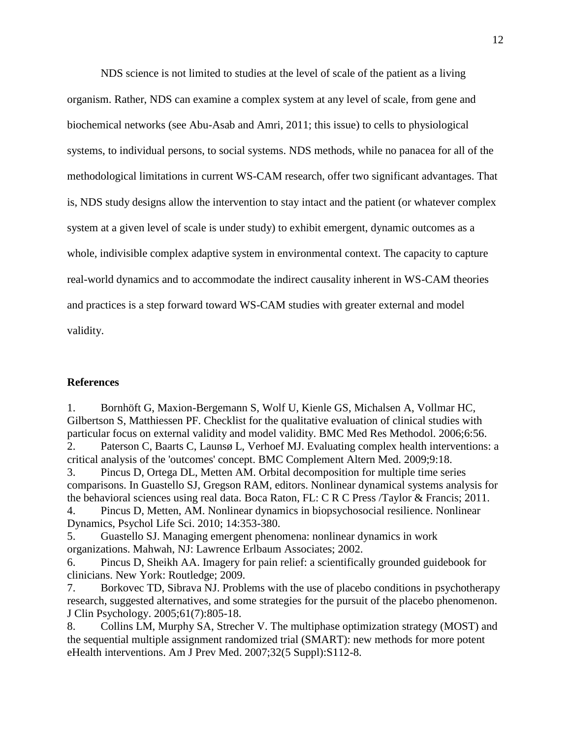NDS science is not limited to studies at the level of scale of the patient as a living organism. Rather, NDS can examine a complex system at any level of scale, from gene and biochemical networks (see Abu-Asab and Amri, 2011; this issue) to cells to physiological systems, to individual persons, to social systems. NDS methods, while no panacea for all of the methodological limitations in current WS-CAM research, offer two significant advantages. That is, NDS study designs allow the intervention to stay intact and the patient (or whatever complex system at a given level of scale is under study) to exhibit emergent, dynamic outcomes as a whole, indivisible complex adaptive system in environmental context. The capacity to capture real-world dynamics and to accommodate the indirect causality inherent in WS-CAM theories and practices is a step forward toward WS-CAM studies with greater external and model validity.

#### **References**

<span id="page-13-1"></span><span id="page-13-0"></span>1. Bornhöft G, Maxion-Bergemann S, Wolf U, Kienle GS, Michalsen A, Vollmar HC, Gilbertson S, Matthiessen PF. Checklist for the qualitative evaluation of clinical studies with particular focus on external validity and model validity. BMC Med Res Methodol. 2006;6:56. 2. Paterson C, Baarts C, Launsø L, Verhoef MJ. Evaluating complex health interventions: a critical analysis of the 'outcomes' concept. BMC Complement Altern Med. 2009;9:18. 3. Pincus D, Ortega DL, Metten AM. Orbital decomposition for multiple time series comparisons. In Guastello SJ, Gregson RAM, editors. Nonlinear dynamical systems analysis for the behavioral sciences using real data. Boca Raton, FL: C R C Press /Taylor & Francis; 2011. 4. Pincus D, Metten, AM. Nonlinear dynamics in biopsychosocial resilience. Nonlinear Dynamics, Psychol Life Sci. 2010; 14:353-380.

5. Guastello SJ. Managing emergent phenomena: nonlinear dynamics in work organizations. Mahwah, NJ: Lawrence Erlbaum Associates; 2002.

6. Pincus D, Sheikh AA. Imagery for pain relief: a scientifically grounded guidebook for clinicians. New York: Routledge; 2009.

7. Borkovec TD, Sibrava NJ. Problems with the use of placebo conditions in psychotherapy research, suggested alternatives, and some strategies for the pursuit of the placebo phenomenon. J Clin Psychology. 2005;61(7):805-18.

<span id="page-13-2"></span>8. Collins LM, Murphy SA, Strecher V. The multiphase optimization strategy (MOST) and the sequential multiple assignment randomized trial (SMART): new methods for more potent eHealth interventions. Am J Prev Med. 2007;32(5 Suppl):S112-8.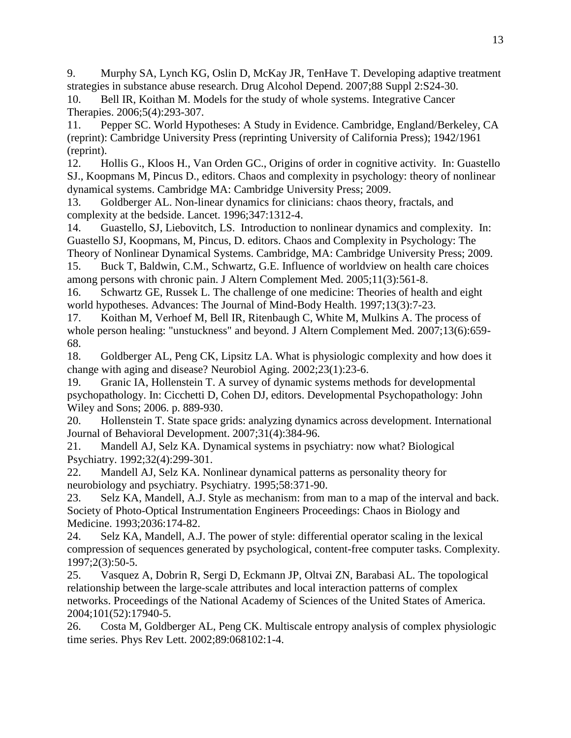9. Murphy SA, Lynch KG, Oslin D, McKay JR, TenHave T. Developing adaptive treatment strategies in substance abuse research. Drug Alcohol Depend. 2007;88 Suppl 2:S24-30.

<span id="page-14-0"></span>10. Bell IR, Koithan M. Models for the study of whole systems. Integrative Cancer Therapies. 2006;5(4):293-307.

11. Pepper SC. World Hypotheses: A Study in Evidence. Cambridge, England/Berkeley, CA (reprint): Cambridge University Press (reprinting University of California Press); 1942/1961 (reprint).

<span id="page-14-1"></span>12. Hollis G., Kloos H., Van Orden GC., Origins of order in cognitive activity. In: Guastello SJ., Koopmans M, Pincus D., editors. Chaos and complexity in psychology: theory of nonlinear dynamical systems. Cambridge MA: Cambridge University Press; 2009.

13. Goldberger AL. Non-linear dynamics for clinicians: chaos theory, fractals, and complexity at the bedside. Lancet. 1996;347:1312-4.

14. Guastello, SJ, Liebovitch, LS. Introduction to nonlinear dynamics and complexity. In: Guastello SJ, Koopmans, M, Pincus, D. editors. Chaos and Complexity in Psychology: The Theory of Nonlinear Dynamical Systems. Cambridge, MA: Cambridge University Press; 2009.

15. Buck T, Baldwin, C.M., Schwartz, G.E. Influence of worldview on health care choices among persons with chronic pain. J Altern Complement Med. 2005;11(3):561-8.

16. Schwartz GE, Russek L. The challenge of one medicine: Theories of health and eight world hypotheses. Advances: The Journal of Mind-Body Health. 1997;13(3):7-23.

<span id="page-14-2"></span>17. Koithan M, Verhoef M, Bell IR, Ritenbaugh C, White M, Mulkins A. The process of whole person healing: "unstuckness" and beyond. J Altern Complement Med. 2007;13(6):659- 68.

18. Goldberger AL, Peng CK, Lipsitz LA. What is physiologic complexity and how does it change with aging and disease? Neurobiol Aging. 2002;23(1):23-6.

19. Granic IA, Hollenstein T. A survey of dynamic systems methods for developmental psychopathology. In: Cicchetti D, Cohen DJ, editors. Developmental Psychopathology: John Wiley and Sons; 2006. p. 889-930.

<span id="page-14-3"></span>20. Hollenstein T. State space grids: analyzing dynamics across development. International Journal of Behavioral Development. 2007;31(4):384-96.

21. Mandell AJ, Selz KA. Dynamical systems in psychiatry: now what? Biological Psychiatry. 1992;32(4):299-301.

22. Mandell AJ, Selz KA. Nonlinear dynamical patterns as personality theory for neurobiology and psychiatry. Psychiatry. 1995;58:371-90.

23. Selz KA, Mandell, A.J. Style as mechanism: from man to a map of the interval and back. Society of Photo-Optical Instrumentation Engineers Proceedings: Chaos in Biology and Medicine. 1993;2036:174-82.

24. Selz KA, Mandell, A.J. The power of style: differential operator scaling in the lexical compression of sequences generated by psychological, content-free computer tasks. Complexity. 1997;2(3):50-5.

25. Vasquez A, Dobrin R, Sergi D, Eckmann JP, Oltvai ZN, Barabasi AL. The topological relationship between the large-scale attributes and local interaction patterns of complex networks. Proceedings of the National Academy of Sciences of the United States of America. 2004;101(52):17940-5.

26. Costa M, Goldberger AL, Peng CK. Multiscale entropy analysis of complex physiologic time series. Phys Rev Lett. 2002;89:068102:1-4.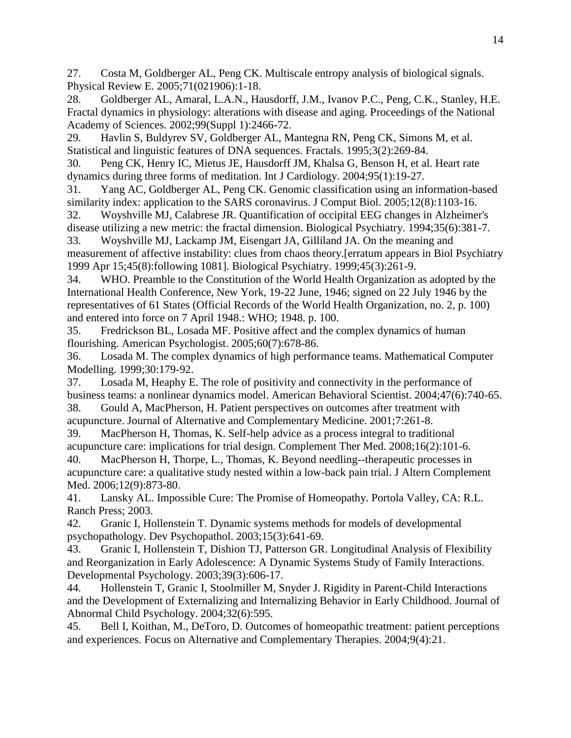27. Costa M, Goldberger AL, Peng CK. Multiscale entropy analysis of biological signals. Physical Review E. 2005;71(021906):1-18.

28. Goldberger AL, Amaral, L.A.N., Hausdorff, J.M., Ivanov P.C., Peng, C.K., Stanley, H.E. Fractal dynamics in physiology: alterations with disease and aging. Proceedings of the National Academy of Sciences. 2002;99(Suppl 1):2466-72.

29. Havlin S, Buldyrev SV, Goldberger AL, Mantegna RN, Peng CK, Simons M, et al. Statistical and linguistic features of DNA sequences. Fractals. 1995;3(2):269-84.

30. Peng CK, Henry IC, Mietus JE, Hausdorff JM, Khalsa G, Benson H, et al. Heart rate dynamics during three forms of meditation. Int J Cardiology. 2004;95(1):19-27.

31. Yang AC, Goldberger AL, Peng CK. Genomic classification using an information-based similarity index: application to the SARS coronavirus. J Comput Biol. 2005;12(8):1103-16.

32. Woyshville MJ, Calabrese JR. Quantification of occipital EEG changes in Alzheimer's disease utilizing a new metric: the fractal dimension. Biological Psychiatry. 1994;35(6):381-7.

33. Woyshville MJ, Lackamp JM, Eisengart JA, Gilliland JA. On the meaning and measurement of affective instability: clues from chaos theory.[erratum appears in Biol Psychiatry 1999 Apr 15;45(8):following 1081]. Biological Psychiatry. 1999;45(3):261-9.

<span id="page-15-0"></span>34. WHO. Preamble to the Constitution of the World Health Organization as adopted by the International Health Conference, New York, 19-22 June, 1946; signed on 22 July 1946 by the representatives of 61 States (Official Records of the World Health Organization, no. 2, p. 100) and entered into force on 7 April 1948.: WHO; 1948. p. 100.

<span id="page-15-1"></span>35. Fredrickson BL, Losada MF. Positive affect and the complex dynamics of human flourishing. American Psychologist. 2005;60(7):678-86.

36. Losada M. The complex dynamics of high performance teams. Mathematical Computer Modelling. 1999;30:179-92.

37. Losada M, Heaphy E. The role of positivity and connectivity in the performance of business teams: a nonlinear dynamics model. American Behavioral Scientist. 2004;47(6):740-65. 38. Gould A, MacPherson, H. Patient perspectives on outcomes after treatment with

<span id="page-15-2"></span>acupuncture. Journal of Alternative and Complementary Medicine. 2001;7:261-8.

39. MacPherson H, Thomas, K. Self-help advice as a process integral to traditional acupuncture care: implications for trial design. Complement Ther Med. 2008;16(2):101-6. 40. MacPherson H, Thorpe, L., Thomas, K. Beyond needling--therapeutic processes in acupuncture care: a qualitative study nested within a low-back pain trial. J Altern Complement Med. 2006;12(9):873-80.

41. Lansky AL. Impossible Cure: The Promise of Homeopathy. Portola Valley, CA: R.L. Ranch Press; 2003.

42. Granic I, Hollenstein T. Dynamic systems methods for models of developmental psychopathology. Dev Psychopathol. 2003;15(3):641-69.

43. Granic I, Hollenstein T, Dishion TJ, Patterson GR. Longitudinal Analysis of Flexibility and Reorganization in Early Adolescence: A Dynamic Systems Study of Family Interactions. Developmental Psychology. 2003;39(3):606-17.

44. Hollenstein T, Granic I, Stoolmiller M, Snyder J. Rigidity in Parent-Child Interactions and the Development of Externalizing and Internalizing Behavior in Early Childhood. Journal of Abnormal Child Psychology. 2004;32(6):595.

<span id="page-15-3"></span>45. Bell I, Koithan, M., DeToro, D. Outcomes of homeopathic treatment: patient perceptions and experiences. Focus on Alternative and Complementary Therapies. 2004;9(4):21.